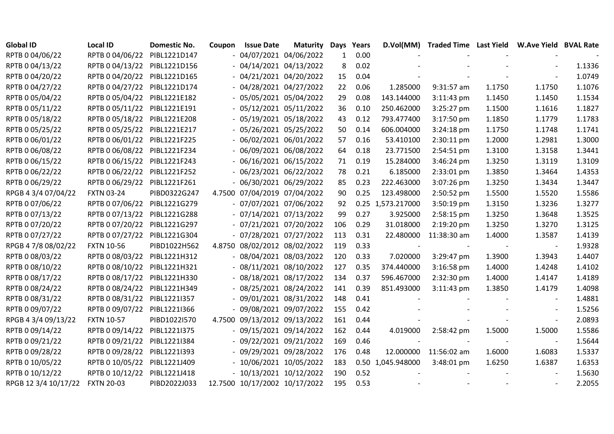| <b>Global ID</b>     | <b>Local ID</b>              | <b>Domestic No.</b> | Coupon | <b>Issue Date</b>             | <b>Maturity</b> | Days         | Years | D.Vol(MM)         | <b>Traded Time Last Yield</b> |        | <b>W.Ave Yield BVAL Rate</b> |        |
|----------------------|------------------------------|---------------------|--------|-------------------------------|-----------------|--------------|-------|-------------------|-------------------------------|--------|------------------------------|--------|
| RPTB 0 04/06/22      | RPTB 0 04/06/22              | PIBL1221D147        |        | $-04/07/2021$ 04/06/2022      |                 | $\mathbf{1}$ | 0.00  |                   |                               |        |                              |        |
| RPTB 0 04/13/22      | RPTB 0 04/13/22 PIBL1221D156 |                     |        | $-04/14/2021$ 04/13/2022      |                 | 8            | 0.02  |                   |                               |        |                              | 1.1336 |
| RPTB 0 04/20/22      | RPTB 0 04/20/22              | PIBL1221D165        |        | $-04/21/2021$ 04/20/2022      |                 | 15           | 0.04  |                   |                               |        |                              | 1.0749 |
| RPTB 0 04/27/22      | RPTB 0 04/27/22              | PIBL1221D174        |        | $-04/28/2021$ 04/27/2022      |                 | 22           | 0.06  | 1.285000          | 9:31:57 am                    | 1.1750 | 1.1750                       | 1.1076 |
| RPTB 0 05/04/22      | RPTB 0 05/04/22              | PIBL1221E182        |        | $-05/05/2021$ 05/04/2022      |                 | 29           | 0.08  | 143.144000        | 3:11:43 pm                    | 1.1450 | 1.1450                       | 1.1534 |
| RPTB 0 05/11/22      | RPTB 0 05/11/22              | PIBL1221E191        |        | $-05/12/2021$ 05/11/2022      |                 | 36           | 0.10  | 250.462000        | 3:25:27 pm                    | 1.1500 | 1.1616                       | 1.1827 |
| RPTB 0 05/18/22      | RPTB 0 05/18/22 PIBL1221E208 |                     |        | $-05/19/2021$ 05/18/2022      |                 | 43           | 0.12  | 793.477400        | 3:17:50 pm                    | 1.1850 | 1.1779                       | 1.1783 |
| RPTB 0 05/25/22      | RPTB 0 05/25/22              | PIBL1221E217        |        | $-05/26/2021$ 05/25/2022      |                 | 50           | 0.14  | 606.004000        | 3:24:18 pm                    | 1.1750 | 1.1748                       | 1.1741 |
| RPTB 0 06/01/22      | RPTB 0 06/01/22 PIBL1221F225 |                     |        | $-06/02/2021$ 06/01/2022      |                 | 57           | 0.16  | 53.410100         | 2:30:11 pm                    | 1.2000 | 1.2981                       | 1.3000 |
| RPTB 0 06/08/22      | RPTB 0 06/08/22              | PIBL1221F234        |        | $-06/09/202106/08/2022$       |                 | 64           | 0.18  | 23.771500         | 2:54:51 pm                    | 1.3100 | 1.3158                       | 1.3441 |
| RPTB 0 06/15/22      | RPTB 0 06/15/22              | PIBL1221F243        |        | $-06/16/2021$ 06/15/2022      |                 | 71           | 0.19  | 15.284000         | 3:46:24 pm                    | 1.3250 | 1.3119                       | 1.3109 |
| RPTB 0 06/22/22      | RPTB 0 06/22/22              | PIBL1221F252        |        | $-06/23/2021$ $06/22/2022$    |                 | 78           | 0.21  | 6.185000          | 2:33:01 pm                    | 1.3850 | 1.3464                       | 1.4353 |
| RPTB 0 06/29/22      | RPTB 0 06/29/22              | PIBL1221F261        |        | $-06/30/202106/29/2022$       |                 | 85           | 0.23  | 222.463000        | 3:07:26 pm                    | 1.3250 | 1.3434                       | 1.3447 |
| RPGB 4 3/4 07/04/22  | <b>FXTN 03-24</b>            | PIBD0322G247        |        | 4.7500 07/04/2019 07/04/2022  |                 | 90           | 0.25  | 123.498000        | 2:50:52 pm                    | 1.5500 | 1.5520                       | 1.5586 |
| RPTB 0 07/06/22      | RPTB 0 07/06/22              | PIBL1221G279        |        | $-07/07/2021$ 07/06/2022      |                 | 92           |       | 0.25 1,573.217000 | 3:50:19 pm                    | 1.3150 | 1.3236                       | 1.3277 |
| RPTB 0 07/13/22      | RPTB 0 07/13/22 PIBL1221G288 |                     |        | $-07/14/2021$ $07/13/2022$    |                 | 99           | 0.27  | 3.925000          | 2:58:15 pm                    | 1.3250 | 1.3648                       | 1.3525 |
| RPTB 0 07/20/22      | RPTB 0 07/20/22              | PIBL1221G297        |        | $-07/21/2021$ $07/20/2022$    |                 | 106          | 0.29  | 31.018000         | 2:19:20 pm                    | 1.3250 | 1.3270                       | 1.3125 |
| RPTB 0 07/27/22      | RPTB 0 07/27/22              | PIBL1221G304        |        | $-07/28/2021$ $07/27/2022$    |                 | 113          | 0.31  | 22.480000         | 11:38:30 am                   | 1.4000 | 1.3587                       | 1.4139 |
| RPGB 4 7/8 08/02/22  | <b>FXTN 10-56</b>            | PIBD1022H562        |        | 4.8750 08/02/2012 08/02/2022  |                 | 119          | 0.33  |                   |                               |        |                              | 1.9328 |
| RPTB 0 08/03/22      | RPTB 0 08/03/22              | PIBL1221H312        |        | $-08/04/2021$ 08/03/2022      |                 | 120          | 0.33  | 7.020000          | 3:29:47 pm                    | 1.3900 | 1.3943                       | 1.4407 |
| RPTB 0 08/10/22      | RPTB 0 08/10/22              | PIBL1221H321        |        | $-08/11/2021$ 08/10/2022      |                 | 127          | 0.35  | 374.440000        | 3:16:58 pm                    | 1.4000 | 1.4248                       | 1.4102 |
| RPTB 0 08/17/22      | RPTB 0 08/17/22              | PIBL1221H330        |        | $-08/18/2021$ 08/17/2022      |                 | 134          | 0.37  | 596.467000        | 2:32:30 pm                    | 1.4000 | 1.4147                       | 1.4189 |
| RPTB 0 08/24/22      | RPTB 0 08/24/22              | PIBL1221H349        |        | $-08/25/202108/24/2022$       |                 | 141          | 0.39  | 851.493000        | $3:11:43$ pm                  | 1.3850 | 1.4179                       | 1.4098 |
| RPTB 0 08/31/22      | RPTB 0 08/31/22              | PIBL1221I357        |        | $-09/01/202108/31/2022$       |                 | 148          | 0.41  |                   |                               |        | $\blacksquare$               | 1.4881 |
| RPTB 0 09/07/22      | RPTB 0 09/07/22              | PIBL1221I366        |        | $-09/08/202109/07/2022$       |                 | 155          | 0.42  |                   |                               |        |                              | 1.5256 |
| RPGB 4 3/4 09/13/22  | <b>FXTN 10-57</b>            | PIBD1022I570        | 4.7500 | 09/13/2012 09/13/2022         |                 | 161          | 0.44  |                   |                               |        |                              | 2.0893 |
| RPTB 0 09/14/22      | RPTB 0 09/14/22              | PIBL1221I375        |        | $-09/15/2021$ 09/14/2022      |                 | 162          | 0.44  | 4.019000          | 2:58:42 pm                    | 1.5000 | 1.5000                       | 1.5586 |
| RPTB 0 09/21/22      | RPTB 0 09/21/22              | PIBL1221I384        |        | $-09/22/202109/21/2022$       |                 | 169          | 0.46  |                   |                               |        | $\overline{\phantom{a}}$     | 1.5644 |
| RPTB 0 09/28/22      | RPTB 0 09/28/22              | PIBL1221I393        |        | - 09/29/2021 09/28/2022       |                 | 176          | 0.48  | 12.000000         | 11:56:02 am                   | 1.6000 | 1.6083                       | 1.5337 |
| RPTB 0 10/05/22      | RPTB 0 10/05/22              | PIBL1221J409        |        | $-10/06/2021$ $10/05/2022$    |                 | 183          |       | 0.50 1,045.948000 | 3:48:01 pm                    | 1.6250 | 1.6387                       | 1.6353 |
| RPTB 0 10/12/22      | RPTB 0 10/12/22              | PIBL1221J418        |        | $-10/13/2021$ $10/12/2022$    |                 | 190          | 0.52  |                   |                               |        |                              | 1.5630 |
| RPGB 12 3/4 10/17/22 | <b>FXTN 20-03</b>            | PIBD2022J033        |        | 12.7500 10/17/2002 10/17/2022 |                 | 195          | 0.53  |                   |                               |        |                              | 2.2055 |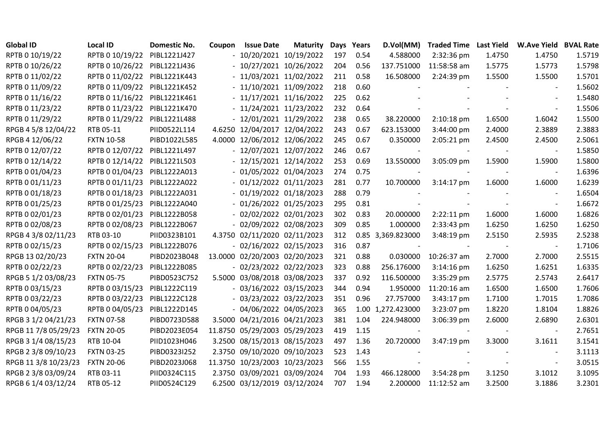| <b>Global ID</b>     | <b>Local ID</b>              | <b>Domestic No.</b> | Coupon | <b>Issue Date</b>             | <b>Maturity</b> | Days | Years | D.Vol(MM)         | <b>Traded Time Last Yield</b> |        | <b>W.Ave Yield BVAL Rate</b> |        |
|----------------------|------------------------------|---------------------|--------|-------------------------------|-----------------|------|-------|-------------------|-------------------------------|--------|------------------------------|--------|
| RPTB 0 10/19/22      | RPTB 0 10/19/22              | PIBL1221J427        |        | $-10/20/2021$ $10/19/2022$    |                 | 197  | 0.54  | 4.588000          | 2:32:36 pm                    | 1.4750 | 1.4750                       | 1.5719 |
| RPTB 0 10/26/22      | RPTB 0 10/26/22 PIBL1221J436 |                     |        | $-10/27/2021$ $10/26/2022$    |                 | 204  | 0.56  | 137.751000        | 11:58:58 am                   | 1.5775 | 1.5773                       | 1.5798 |
| RPTB 0 11/02/22      | RPTB 0 11/02/22              | PIBL1221K443        |        | $-11/03/2021$ $11/02/2022$    |                 | 211  | 0.58  | 16.508000         | 2:24:39 pm                    | 1.5500 | 1.5500                       | 1.5701 |
| RPTB 0 11/09/22      | RPTB 0 11/09/22              | PIBL1221K452        |        | $-11/10/2021$ $11/09/2022$    |                 | 218  | 0.60  |                   |                               |        |                              | 1.5602 |
| RPTB 0 11/16/22      | RPTB 0 11/16/22              | PIBL1221K461        |        | $-11/17/2021$ 11/16/2022      |                 | 225  | 0.62  |                   |                               |        |                              | 1.5480 |
| RPTB 0 11/23/22      | RPTB 0 11/23/22              | PIBL1221K470        |        | $-11/24/2021$ $11/23/2022$    |                 | 232  | 0.64  |                   |                               |        | $\sim$                       | 1.5506 |
| RPTB 0 11/29/22      | RPTB 0 11/29/22              | PIBL1221L488        |        | $-12/01/2021$ $11/29/2022$    |                 | 238  | 0.65  | 38.220000         | 2:10:18 pm                    | 1.6500 | 1.6042                       | 1.5500 |
| RPGB 4 5/8 12/04/22  | RTB 05-11                    | PIID0522L114        |        | 4.6250 12/04/2017 12/04/2022  |                 | 243  | 0.67  | 623.153000        | 3:44:00 pm                    | 2.4000 | 2.3889                       | 2.3883 |
| RPGB 4 12/06/22      | <b>FXTN 10-58</b>            | PIBD1022L585        |        | 4.0000 12/06/2012 12/06/2022  |                 | 245  | 0.67  | 0.350000          | 2:05:21 pm                    | 2.4500 | 2.4500                       | 2.5061 |
| RPTB 0 12/07/22      | RPTB 0 12/07/22              | PIBL1221L497        |        | - 12/07/2021 12/07/2022       |                 | 246  | 0.67  |                   |                               |        | $\sim$                       | 1.5850 |
| RPTB 0 12/14/22      | RPTB 0 12/14/22              | PIBL1221L503        |        | - 12/15/2021 12/14/2022       |                 | 253  | 0.69  | 13.550000         | 3:05:09 pm                    | 1.5900 | 1.5900                       | 1.5800 |
| RPTB 0 01/04/23      | RPTB 0 01/04/23              | PIBL1222A013        |        | $-01/05/202201/04/2023$       |                 | 274  | 0.75  |                   |                               |        | $\overline{\phantom{a}}$     | 1.6396 |
| RPTB 0 01/11/23      | RPTB 0 01/11/23              | PIBL1222A022        |        | $-01/12/2022 01/11/2023$      |                 | 281  | 0.77  | 10.700000         | $3:14:17$ pm                  | 1.6000 | 1.6000                       | 1.6239 |
| RPTB 0 01/18/23      | RPTB 0 01/18/23              | PIBL1222A031        |        | $-01/19/2022 01/18/2023$      |                 | 288  | 0.79  |                   |                               |        |                              | 1.6504 |
| RPTB 0 01/25/23      | RPTB 0 01/25/23              | PIBL1222A040        |        | $-01/26/2022 01/25/2023$      |                 | 295  | 0.81  |                   |                               |        |                              | 1.6672 |
| RPTB 0 02/01/23      | RPTB 0 02/01/23              | PIBL1222B058        |        | $-02/02/2022 02/01/2023$      |                 | 302  | 0.83  | 20.000000         | $2:22:11$ pm                  | 1.6000 | 1.6000                       | 1.6826 |
| RPTB 0 02/08/23      | RPTB 0 02/08/23              | PIBL1222B067        |        | $-02/09/2022 02/08/2023$      |                 | 309  | 0.85  | 1.000000          | 2:33:43 pm                    | 1.6250 | 1.6250                       | 1.6250 |
| RPGB 4 3/8 02/11/23  | RTB 03-10                    | PIID0323B101        |        | 4.3750 02/11/2020 02/11/2023  |                 | 312  |       | 0.85 3,369.823000 | 3:48:19 pm                    | 2.5150 | 2.5935                       | 2.5238 |
| RPTB 0 02/15/23      | RPTB 0 02/15/23              | PIBL1222B076        |        | $-02/16/2022 02/15/2023$      |                 | 316  | 0.87  |                   |                               |        |                              | 1.7106 |
| RPGB 13 02/20/23     | <b>FXTN 20-04</b>            | PIBD2023B048        |        | 13.0000 02/20/2003 02/20/2023 |                 | 321  | 0.88  | 0.030000          | 10:26:37 am                   | 2.7000 | 2.7000                       | 2.5515 |
| RPTB 0 02/22/23      | RPTB 0 02/22/23              | PIBL1222B085        |        | $-02/23/2022 02/22/2023$      |                 | 323  | 0.88  | 256.176000        | $3:14:16$ pm                  | 1.6250 | 1.6251                       | 1.6335 |
| RPGB 5 1/2 03/08/23  | <b>FXTN 05-75</b>            | PIBD0523C752        |        | 5.5000 03/08/2018 03/08/2023  |                 | 337  | 0.92  | 116.500000        | 3:35:29 pm                    | 2.5775 | 2.5743                       | 2.6417 |
| RPTB 0 03/15/23      | RPTB 0 03/15/23              | PIBL1222C119        |        | $-03/16/2022$ 03/15/2023      |                 | 344  | 0.94  | 1.950000          | 11:20:16 am                   | 1.6500 | 1.6500                       | 1.7606 |
| RPTB 0 03/22/23      | RPTB 0 03/22/23              | PIBL1222C128        |        | $-03/23/2022 03/22/2023$      |                 | 351  | 0.96  | 27.757000         | 3:43:17 pm                    | 1.7100 | 1.7015                       | 1.7086 |
| RPTB 0 04/05/23      | RPTB 0 04/05/23              | PIBL1222D145        |        | $-04/06/2022$ 04/05/2023      |                 | 365  |       | 1.00 1,272.423000 | 3:23:07 pm                    | 1.8220 | 1.8104                       | 1.8826 |
| RPGB 3 1/2 04/21/23  | <b>FXTN 07-58</b>            | PIBD0723D588        |        | 3.5000 04/21/2016 04/21/2023  |                 | 381  | 1.04  | 224.948000        | 3:06:39 pm                    | 2.6000 | 2.6890                       | 2.6301 |
| RPGB 11 7/8 05/29/23 | <b>FXTN 20-05</b>            | PIBD2023E054        |        | 11.8750 05/29/2003 05/29/2023 |                 | 419  | 1.15  |                   |                               |        |                              | 2.7651 |
| RPGB 3 1/4 08/15/23  | RTB 10-04                    | PIID1023H046        |        | 3.2500 08/15/2013 08/15/2023  |                 | 497  | 1.36  | 20.720000         | 3:47:19 pm                    | 3.3000 | 3.1611                       | 3.1541 |
| RPGB 2 3/8 09/10/23  | <b>FXTN 03-25</b>            | PIBD0323I252        |        | 2.3750 09/10/2020 09/10/2023  |                 | 523  | 1.43  |                   |                               |        |                              | 3.1113 |
| RPGB 11 3/8 10/23/23 | <b>FXTN 20-06</b>            | PIBD2023J068        |        | 11.3750 10/23/2003 10/23/2023 |                 | 566  | 1.55  |                   |                               |        |                              | 3.0515 |
| RPGB 2 3/8 03/09/24  | RTB 03-11                    | PIID0324C115        |        | 2.3750 03/09/2021 03/09/2024  |                 | 704  | 1.93  | 466.128000        | 3:54:28 pm                    | 3.1250 | 3.1012                       | 3.1095 |
| RPGB 6 1/4 03/12/24  | RTB 05-12                    | PIID0524C129        |        | 6.2500 03/12/2019 03/12/2024  |                 | 707  | 1.94  | 2.200000          | 11:12:52 am                   | 3.2500 | 3.1886                       | 3.2301 |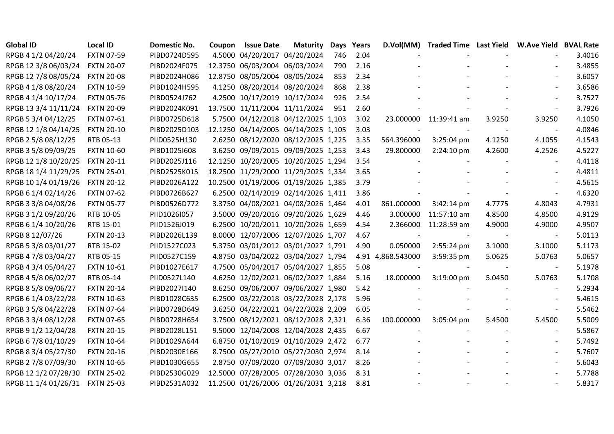| <b>Global ID</b>     | <b>Local ID</b>   | <b>Domestic No.</b> | Coupon | <b>Issue Date</b>             | <b>Maturity</b>                     | Days | Years |                   | D.Vol(MM) Traded Time Last Yield W.Ave Yield BVAL Rate |        |                          |        |
|----------------------|-------------------|---------------------|--------|-------------------------------|-------------------------------------|------|-------|-------------------|--------------------------------------------------------|--------|--------------------------|--------|
| RPGB 4 1/2 04/20/24  | <b>FXTN 07-59</b> | PIBD0724D595        |        | 4.5000 04/20/2017 04/20/2024  |                                     | 746  | 2.04  |                   |                                                        |        |                          | 3.4016 |
| RPGB 12 3/8 06/03/24 | <b>FXTN 20-07</b> | PIBD2024F075        |        | 12.3750 06/03/2004 06/03/2024 |                                     | 790  | 2.16  |                   |                                                        |        |                          | 3.4855 |
| RPGB 12 7/8 08/05/24 | <b>FXTN 20-08</b> | PIBD2024H086        |        | 12.8750 08/05/2004 08/05/2024 |                                     | 853  | 2.34  |                   |                                                        |        |                          | 3.6057 |
| RPGB 4 1/8 08/20/24  | <b>FXTN 10-59</b> | PIBD1024H595        |        | 4.1250 08/20/2014 08/20/2024  |                                     | 868  | 2.38  |                   |                                                        |        |                          | 3.6586 |
| RPGB 4 1/4 10/17/24  | <b>FXTN 05-76</b> | PIBD0524J762        |        | 4.2500 10/17/2019 10/17/2024  |                                     | 926  | 2.54  |                   |                                                        |        |                          | 3.7527 |
| RPGB 13 3/4 11/11/24 | <b>FXTN 20-09</b> | PIBD2024K091        |        | 13.7500 11/11/2004 11/11/2024 |                                     | 951  | 2.60  |                   |                                                        |        | $\overline{\phantom{a}}$ | 3.7926 |
| RPGB 5 3/4 04/12/25  | <b>FXTN 07-61</b> | PIBD0725D618        |        |                               | 5.7500 04/12/2018 04/12/2025 1,103  |      | 3.02  |                   | 23.000000 11:39:41 am                                  | 3.9250 | 3.9250                   | 4.1050 |
| RPGB 12 1/8 04/14/25 | <b>FXTN 20-10</b> | PIBD2025D103        |        |                               | 12.1250 04/14/2005 04/14/2025 1,105 |      | 3.03  |                   |                                                        |        |                          | 4.0846 |
| RPGB 2 5/8 08/12/25  | RTB 05-13         | PIID0525H130        |        |                               | 2.6250 08/12/2020 08/12/2025 1,225  |      | 3.35  | 564.396000        | 3:25:04 pm                                             | 4.1250 | 4.1055                   | 4.1543 |
| RPGB 3 5/8 09/09/25  | <b>FXTN 10-60</b> | PIBD1025I608        |        |                               | 3.6250 09/09/2015 09/09/2025 1,253  |      | 3.43  | 29.800000         | 2:24:10 pm                                             | 4.2600 | 4.2526                   | 4.5227 |
| RPGB 12 1/8 10/20/25 | <b>FXTN 20-11</b> | PIBD2025J116        |        |                               | 12.1250 10/20/2005 10/20/2025 1,294 |      | 3.54  |                   |                                                        |        |                          | 4.4118 |
| RPGB 18 1/4 11/29/25 | <b>FXTN 25-01</b> | PIBD2525K015        |        |                               | 18.2500 11/29/2000 11/29/2025 1,334 |      | 3.65  |                   |                                                        |        |                          | 4.4811 |
| RPGB 10 1/4 01/19/26 | <b>FXTN 20-12</b> | PIBD2026A122        |        |                               | 10.2500 01/19/2006 01/19/2026 1,385 |      | 3.79  |                   |                                                        |        |                          | 4.5615 |
| RPGB 6 1/4 02/14/26  | <b>FXTN 07-62</b> | PIBD0726B627        |        |                               | 6.2500 02/14/2019 02/14/2026 1,411  |      | 3.86  |                   |                                                        |        |                          | 4.6320 |
| RPGB 3 3/8 04/08/26  | <b>FXTN 05-77</b> | PIBD0526D772        |        |                               | 3.3750 04/08/2021 04/08/2026 1,464  |      | 4.01  | 861.000000        | $3:42:14 \text{ pm}$                                   | 4.7775 | 4.8043                   | 4.7931 |
| RPGB 3 1/2 09/20/26  | RTB 10-05         | PIID1026I057        |        |                               | 3.5000 09/20/2016 09/20/2026 1,629  |      | 4.46  | 3.000000          | 11:57:10 am                                            | 4.8500 | 4.8500                   | 4.9129 |
| RPGB 6 1/4 10/20/26  | RTB 15-01         | PIID1526J019        |        |                               | 6.2500 10/20/2011 10/20/2026 1,659  |      | 4.54  | 2.366000          | 11:28:59 am                                            | 4.9000 | 4.9000                   | 4.9507 |
| RPGB 8 12/07/26      | <b>FXTN 20-13</b> | PIBD2026L139        |        |                               | 8.0000 12/07/2006 12/07/2026 1,707  |      | 4.67  |                   |                                                        |        | $\overline{\phantom{a}}$ | 5.0113 |
| RPGB 5 3/8 03/01/27  | RTB 15-02         | PIID1527C023        |        |                               | 5.3750 03/01/2012 03/01/2027 1,791  |      | 4.90  | 0.050000          | 2:55:24 pm                                             | 3.1000 | 3.1000                   | 5.1173 |
| RPGB 4 7/8 03/04/27  | RTB 05-15         | PIID0527C159        |        |                               | 4.8750 03/04/2022 03/04/2027 1,794  |      |       | 4.91 4,868.543000 | 3:59:35 pm                                             | 5.0625 | 5.0763                   | 5.0657 |
| RPGB 4 3/4 05/04/27  | <b>FXTN 10-61</b> | PIBD1027E617        |        |                               | 4.7500 05/04/2017 05/04/2027 1,855  |      | 5.08  |                   |                                                        |        | $\overline{\phantom{a}}$ | 5.1978 |
| RPGB 4 5/8 06/02/27  | RTB 05-14         | PIID0527L140        |        |                               | 4.6250 12/02/2021 06/02/2027 1,884  |      | 5.16  | 18.000000         | 3:19:00 pm                                             | 5.0450 | 5.0763                   | 5.1708 |
| RPGB 8 5/8 09/06/27  | <b>FXTN 20-14</b> | PIBD2027I140        |        |                               | 8.6250 09/06/2007 09/06/2027 1,980  |      | 5.42  |                   |                                                        |        | $\overline{\phantom{a}}$ | 5.2934 |
| RPGB 6 1/4 03/22/28  | <b>FXTN 10-63</b> | PIBD1028C635        |        |                               | 6.2500 03/22/2018 03/22/2028 2,178  |      | 5.96  |                   |                                                        |        |                          | 5.4615 |
| RPGB 3 5/8 04/22/28  | <b>FXTN 07-64</b> | PIBD0728D649        |        |                               | 3.6250 04/22/2021 04/22/2028 2,209  |      | 6.05  |                   |                                                        |        |                          | 5.5462 |
| RPGB 3 3/4 08/12/28  | <b>FXTN 07-65</b> | PIBD0728H654        |        |                               | 3.7500 08/12/2021 08/12/2028 2,321  |      | 6.36  | 100.000000        | 3:05:04 pm                                             | 5.4500 | 5.4500                   | 5.5009 |
| RPGB 9 1/2 12/04/28  | <b>FXTN 20-15</b> | PIBD2028L151        |        |                               | 9.5000 12/04/2008 12/04/2028 2,435  |      | 6.67  |                   |                                                        |        |                          | 5.5867 |
| RPGB 6 7/8 01/10/29  | <b>FXTN 10-64</b> | PIBD1029A644        |        |                               | 6.8750 01/10/2019 01/10/2029 2,472  |      | 6.77  |                   |                                                        |        |                          | 5.7492 |
| RPGB 8 3/4 05/27/30  | <b>FXTN 20-16</b> | PIBD2030E166        |        |                               | 8.7500 05/27/2010 05/27/2030 2,974  |      | 8.14  |                   |                                                        |        |                          | 5.7607 |
| RPGB 2 7/8 07/09/30  | <b>FXTN 10-65</b> | PIBD1030G655        |        |                               | 2.8750 07/09/2020 07/09/2030 3,017  |      | 8.26  |                   |                                                        |        | $\overline{\phantom{a}}$ | 5.6043 |
| RPGB 12 1/2 07/28/30 | <b>FXTN 25-02</b> | PIBD2530G029        |        |                               | 12.5000 07/28/2005 07/28/2030 3,036 |      | 8.31  |                   |                                                        |        |                          | 5.7788 |
| RPGB 11 1/4 01/26/31 | <b>FXTN 25-03</b> | PIBD2531A032        |        |                               | 11.2500 01/26/2006 01/26/2031 3,218 |      | 8.81  |                   |                                                        |        |                          | 5.8317 |